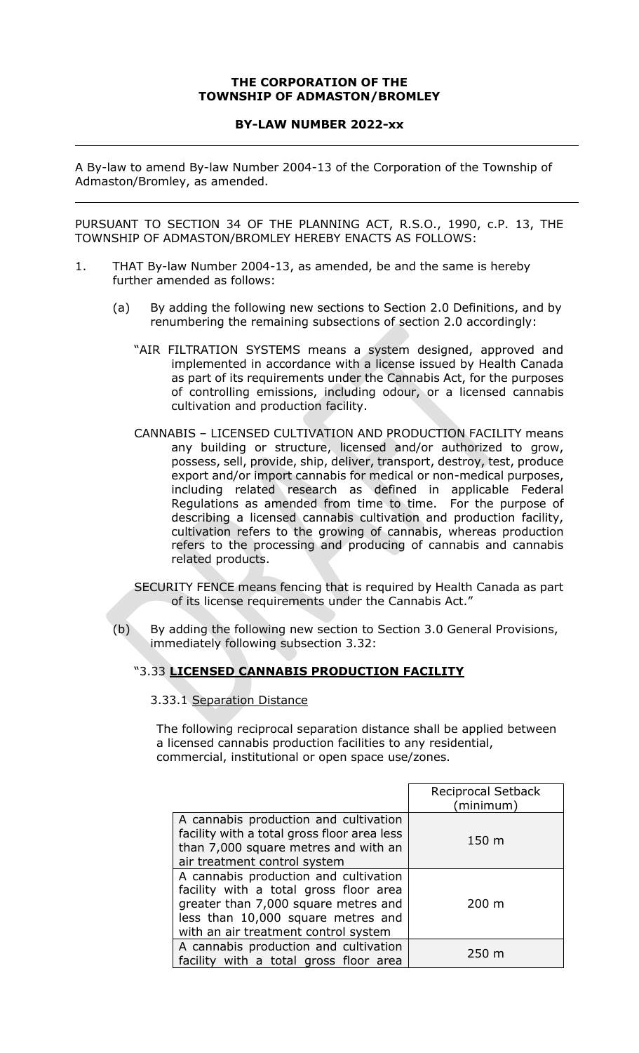## **THE CORPORATION OF THE TOWNSHIP OF ADMASTON/BROMLEY**

## **BY-LAW NUMBER 2022-xx**

A By-law to amend By-law Number 2004-13 of the Corporation of the Township of Admaston/Bromley, as amended.

PURSUANT TO SECTION 34 OF THE PLANNING ACT, R.S.O., 1990, c.P. 13, THE TOWNSHIP OF ADMASTON/BROMLEY HEREBY ENACTS AS FOLLOWS:

- 1. THAT By-law Number 2004-13, as amended, be and the same is hereby further amended as follows:
	- (a) By adding the following new sections to Section 2.0 Definitions, and by renumbering the remaining subsections of section 2.0 accordingly:
		- "AIR FILTRATION SYSTEMS means a system designed, approved and implemented in accordance with a license issued by Health Canada as part of its requirements under the Cannabis Act, for the purposes of controlling emissions, including odour, or a licensed cannabis cultivation and production facility.
		- CANNABIS LICENSED CULTIVATION AND PRODUCTION FACILITY means any building or structure, licensed and/or authorized to grow, possess, sell, provide, ship, deliver, transport, destroy, test, produce export and/or import cannabis for medical or non-medical purposes, including related research as defined in applicable Federal Regulations as amended from time to time. For the purpose of describing a licensed cannabis cultivation and production facility, cultivation refers to the growing of cannabis, whereas production refers to the processing and producing of cannabis and cannabis related products.
		- SECURITY FENCE means fencing that is required by Health Canada as part of its license requirements under the Cannabis Act."
	- (b) By adding the following new section to Section 3.0 General Provisions, immediately following subsection 3.32:

# "3.33 **LICENSED CANNABIS PRODUCTION FACILITY**

## 3.33.1 Separation Distance

The following reciprocal separation distance shall be applied between a licensed cannabis production facilities to any residential, commercial, institutional or open space use/zones.

|                                                                                                                                                                                                       | Reciprocal Setback<br>(minimum) |
|-------------------------------------------------------------------------------------------------------------------------------------------------------------------------------------------------------|---------------------------------|
| A cannabis production and cultivation<br>facility with a total gross floor area less<br>than 7,000 square metres and with an<br>air treatment control system                                          | 150 m                           |
| A cannabis production and cultivation<br>facility with a total gross floor area<br>greater than 7,000 square metres and<br>less than 10,000 square metres and<br>with an air treatment control system | $200 \text{ m}$                 |
| A cannabis production and cultivation<br>facility with a total gross floor area                                                                                                                       | 250 <sub>m</sub>                |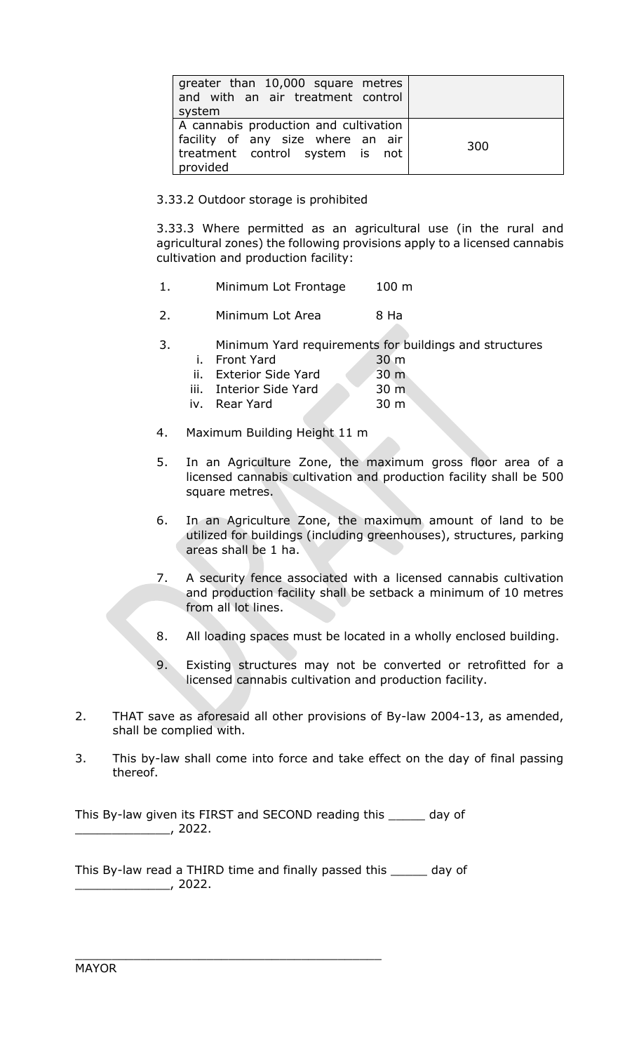| greater than 10,000 square metres<br>and with an air treatment control<br>system                                          |     |
|---------------------------------------------------------------------------------------------------------------------------|-----|
| A cannabis production and cultivation<br>facility of any size where an air<br>treatment control system is not<br>provided | 300 |

3.33.2 Outdoor storage is prohibited

3.33.3 Where permitted as an agricultural use (in the rural and agricultural zones) the following provisions apply to a licensed cannabis cultivation and production facility:

- 1. Minimum Lot Frontage 100 m
- 2. Minimum Lot Area 8 Ha
- 3. Minimum Yard requirements for buildings and structures
	- i. Front Yard 30 m ii. Exterior Side Yard 30 m
	- iii. Interior Side Yard 30 m iv. Rear Yard 30 m
- 4. Maximum Building Height 11 m
- 5. In an Agriculture Zone, the maximum gross floor area of a licensed cannabis cultivation and production facility shall be 500 square metres.
- 6. In an Agriculture Zone, the maximum amount of land to be utilized for buildings (including greenhouses), structures, parking areas shall be 1 ha.
- 7. A security fence associated with a licensed cannabis cultivation and production facility shall be setback a minimum of 10 metres from all lot lines.
- 8. All loading spaces must be located in a wholly enclosed building.
- 9. Existing structures may not be converted or retrofitted for a licensed cannabis cultivation and production facility.
- 2. THAT save as aforesaid all other provisions of By-law 2004-13, as amended, shall be complied with.
- 3. This by-law shall come into force and take effect on the day of final passing thereof.

This By-law given its FIRST and SECOND reading this \_\_\_\_\_ day of \_\_\_\_\_\_\_\_\_\_\_\_\_, 2022.

This By-law read a THIRD time and finally passed this \_\_\_\_\_ day of \_\_\_\_\_\_\_\_\_\_\_\_\_, 2022.

\_\_\_\_\_\_\_\_\_\_\_\_\_\_\_\_\_\_\_\_\_\_\_\_\_\_\_\_\_\_\_\_\_\_\_\_\_\_\_\_\_\_